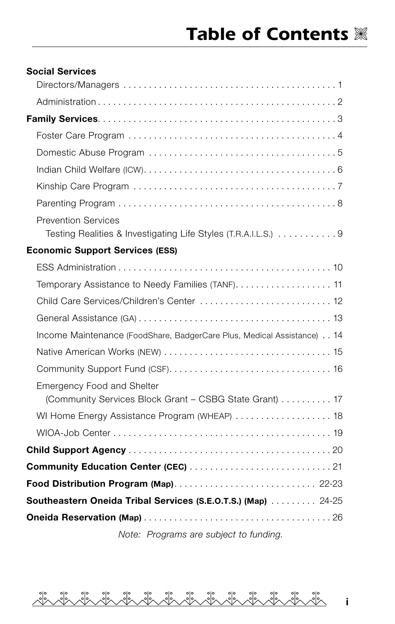| <b>Social Services</b>                                                 |
|------------------------------------------------------------------------|
|                                                                        |
|                                                                        |
|                                                                        |
|                                                                        |
|                                                                        |
|                                                                        |
|                                                                        |
|                                                                        |
| <b>Prevention Services</b>                                             |
| Testing Realities & Investigating Life Styles (T.R.A.I.L.S.) 9         |
| <b>Economic Support Services (ESS)</b>                                 |
|                                                                        |
| Temporary Assistance to Needy Families (TANF) 11                       |
| Child Care Services/Children's Center  12                              |
|                                                                        |
| Income Maintenance (FoodShare, BadgerCare Plus, Medical Assistance) 14 |
|                                                                        |
|                                                                        |
| <b>Emergency Food and Shelter</b>                                      |
| (Community Services Block Grant - CSBG State Grant)  17                |
| WI Home Energy Assistance Program (WHEAP)  18                          |
|                                                                        |
|                                                                        |
|                                                                        |
|                                                                        |
| <b>Southeastern Oneida Tribal Services (S.E.O.T.S.) (Map)</b> 24-25    |
|                                                                        |

*Note: Programs are subject to funding.*

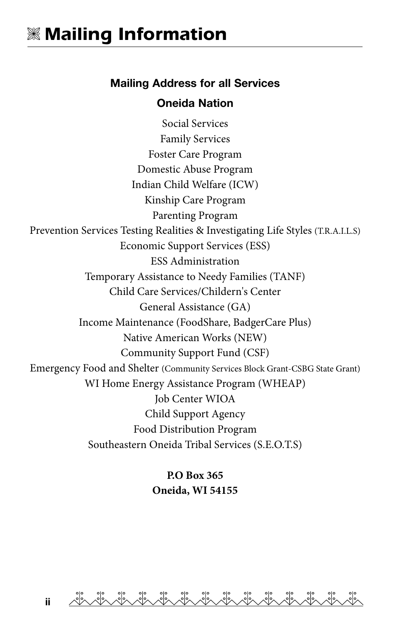#### Mailing Address for all Services

#### Oneida Nation

Social Services Family Services Foster Care Program Domestic Abuse Program Indian Child Welfare (ICW) Kinship Care Program Parenting Program Prevention Services Testing Realities & Investigating Life Styles (T.R.A.I.L.S) Economic Support Services (ESS) ESS Administration Temporary Assistance to Needy Families (TANF) Child Care Services/Childern's Center General Assistance (GA) Income Maintenance (FoodShare, BadgerCare Plus) Native American Works (NEW) Community Support Fund (CSF) Emergency Food and Shelter (Community Services Block Grant-CSBG State Grant) WI Home Energy Assistance Program (WHEAP) Job Center WIOA Child Support Agency Food Distribution Program Southeastern Oneida Tribal Services (S.E.O.T.S)

> **P.O Box 365 Oneida, WI 54155**

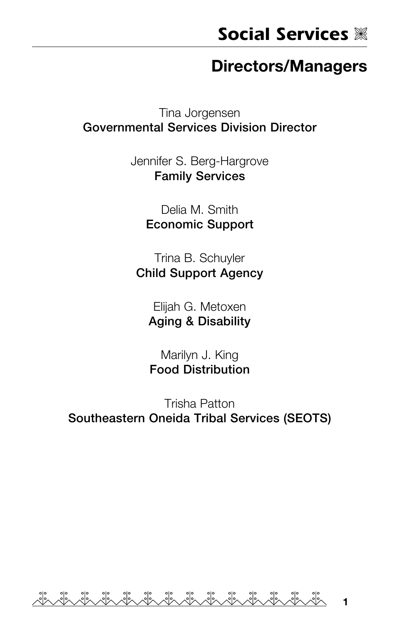#### Directors/Managers

Tina Jorgensen Governmental Services Division Director

> Jennifer S. Berg-Hargrove Family Services

> > Delia M. Smith Economic Support

Trina B. Schuyler Child Support Agency

Elijah G. Metoxen Aging & Disability

Marilyn J. King Food Distribution

Trisha Patton Southeastern Oneida Tribal Services (SEOTS)

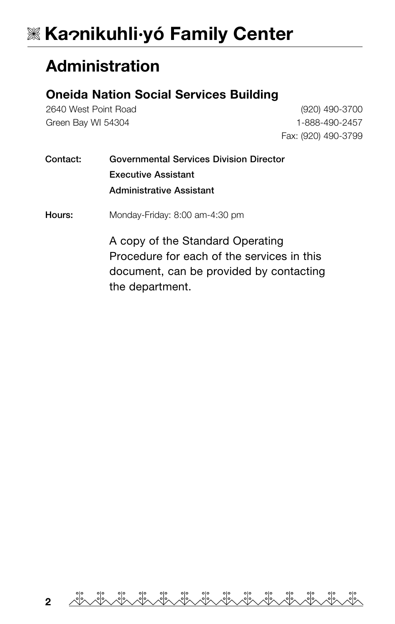# **Ka nikuhli·yó Family Center**

#### Administration

#### Oneida Nation Social Services Building

2640 West Point Road Green Bay WI 54304

(920) 490-3700 1-888-490-2457 Fax: (920) 490-3799

| Contact: | Governmental Services Division Director |
|----------|-----------------------------------------|
|          | <b>Executive Assistant</b>              |
|          | <b>Administrative Assistant</b>         |

Hours: Monday-Friday: 8:00 am-4:30 pm

A copy of the Standard Operating Procedure for each of the services in this document, can be provided by contacting the department.

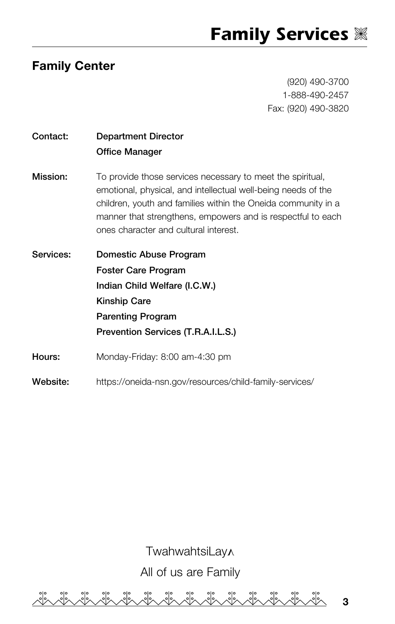#### Family Center

(920) 490-3700 1-888-490-2457 Fax: (920) 490-3820

3

| Contact:  | <b>Department Director</b><br><b>Office Manager</b>                                                                                                                                                                                                                                                  |
|-----------|------------------------------------------------------------------------------------------------------------------------------------------------------------------------------------------------------------------------------------------------------------------------------------------------------|
| Mission:  | To provide those services necessary to meet the spiritual,<br>emotional, physical, and intellectual well-being needs of the<br>children, youth and families within the Oneida community in a<br>manner that strengthens, empowers and is respectful to each<br>ones character and cultural interest. |
| Services: | Domestic Abuse Program<br><b>Foster Care Program</b><br>Indian Child Welfare (I.C.W.)<br><b>Kinship Care</b><br><b>Parenting Program</b>                                                                                                                                                             |
|           | Prevention Services (T.R.A.I.L.S.)                                                                                                                                                                                                                                                                   |
| Hours:    | Monday-Friday: 8:00 am-4:30 pm                                                                                                                                                                                                                                                                       |
| Website:  | https://oneida-nsn.gov/resources/child-family-services/                                                                                                                                                                                                                                              |

**TwahwahtsiLay** All of us are Family22 in 12 ್ಸಿಂ 22 22 22 22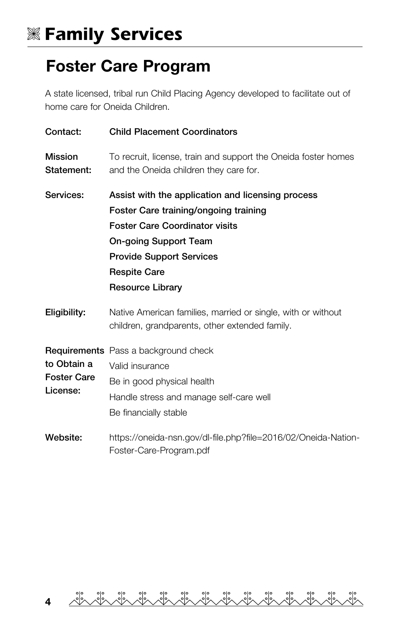## V **Family Services**

### Foster Care Program

A state licensed, tribal run Child Placing Agency developed to facilitate out of home care for Oneida Children.

| Contact:                                      | <b>Child Placement Coordinators</b>                                                                                                                                                                                                                      |
|-----------------------------------------------|----------------------------------------------------------------------------------------------------------------------------------------------------------------------------------------------------------------------------------------------------------|
| <b>Mission</b><br>Statement:                  | To recruit, license, train and support the Oneida foster homes<br>and the Oneida children they care for.                                                                                                                                                 |
| Services:                                     | Assist with the application and licensing process<br>Foster Care training/ongoing training<br><b>Foster Care Coordinator visits</b><br><b>On-going Support Team</b><br><b>Provide Support Services</b><br><b>Respite Care</b><br><b>Resource Library</b> |
| Eligibility:                                  | Native American families, married or single, with or without<br>children, grandparents, other extended family.                                                                                                                                           |
| to Obtain a<br><b>Foster Care</b><br>License: | <b>Requirements</b> Pass a background check<br>Valid insurance<br>Be in good physical health<br>Handle stress and manage self-care well<br>Be financially stable                                                                                         |
| Website:                                      | https://oneida-nsn.gov/dl-file.php?file=2016/02/Oneida-Nation-<br>Foster-Care-Program.pdf                                                                                                                                                                |

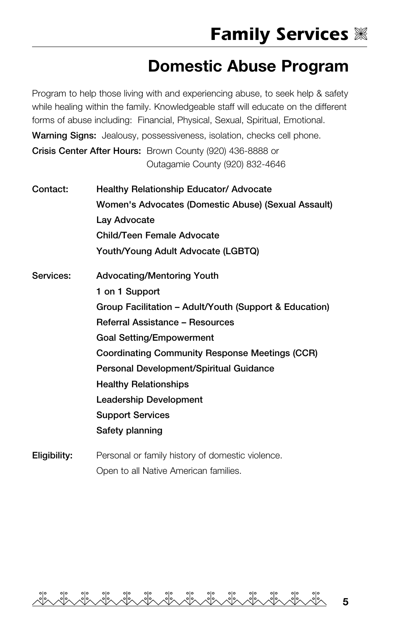### Domestic Abuse Program

Program to help those living with and experiencing abuse, to seek help & safety while healing within the family. Knowledgeable staff will educate on the different forms of abuse including: Financial, Physical, Sexual, Spiritual, Emotional.

Warning Signs: Jealousy, possessiveness, isolation, checks cell phone.

Crisis Center After Hours: Brown County (920) 436-8888 or Outagamie County (920) 832-4646

Contact: Healthy Relationship Educator/ Advocate Women's Advocates (Domestic Abuse) (Sexual Assault) Lay Advocate Child/Teen Female Advocate Youth/Young Adult Advocate (LGBTQ) Services: Advocating/Mentoring Youth 1 on 1 Support Group Facilitation – Adult/Youth (Support & Education) Referral Assistance – Resources Goal Setting/Empowerment Coordinating Community Response Meetings (CCR) Personal Development/Spiritual Guidance Healthy Relationships Leadership Development Support Services Safety planning

**Eligibility:** Personal or family history of domestic violence. Open to all Native American families.

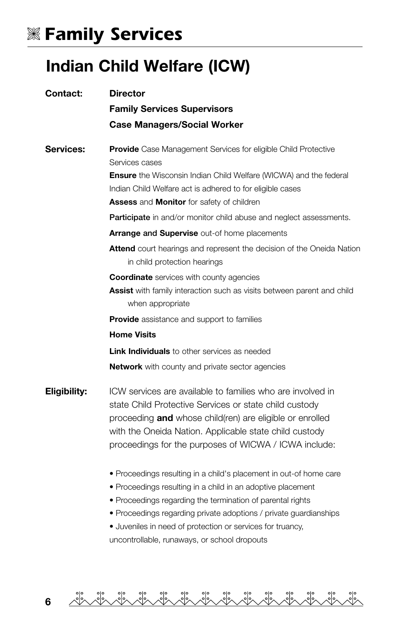## V **Family Services**

### Indian Child Welfare (ICW)

| Contact:     | <b>Director</b>                                                                                                                                                                                                                                                                                     |
|--------------|-----------------------------------------------------------------------------------------------------------------------------------------------------------------------------------------------------------------------------------------------------------------------------------------------------|
|              | <b>Family Services Supervisors</b>                                                                                                                                                                                                                                                                  |
|              | <b>Case Managers/Social Worker</b>                                                                                                                                                                                                                                                                  |
| Services:    | <b>Provide</b> Case Management Services for eligible Child Protective<br>Services cases<br><b>Ensure</b> the Wisconsin Indian Child Welfare (WICWA) and the federal                                                                                                                                 |
|              | Indian Child Welfare act is adhered to for eligible cases                                                                                                                                                                                                                                           |
|              | <b>Assess and Monitor for safety of children</b>                                                                                                                                                                                                                                                    |
|              | <b>Participate</b> in and/or monitor child abuse and neglect assessments.                                                                                                                                                                                                                           |
|              | Arrange and Supervise out-of home placements                                                                                                                                                                                                                                                        |
|              | <b>Attend</b> court hearings and represent the decision of the Oneida Nation<br>in child protection hearings                                                                                                                                                                                        |
|              | <b>Coordinate</b> services with county agencies                                                                                                                                                                                                                                                     |
|              | Assist with family interaction such as visits between parent and child<br>when appropriate                                                                                                                                                                                                          |
|              | <b>Provide</b> assistance and support to families                                                                                                                                                                                                                                                   |
|              | <b>Home Visits</b>                                                                                                                                                                                                                                                                                  |
|              | <b>Link Individuals</b> to other services as needed                                                                                                                                                                                                                                                 |
|              | <b>Network</b> with county and private sector agencies                                                                                                                                                                                                                                              |
| Eligibility: | ICW services are available to families who are involved in<br>state Child Protective Services or state child custody<br>proceeding and whose child(ren) are eligible or enrolled<br>with the Oneida Nation. Applicable state child custody<br>proceedings for the purposes of WICWA / ICWA include: |
|              | . Proceedings resulting in a child's placement in out-of home care<br>• Proceedings resulting in a child in an adoptive placement<br>• Proceedings regarding the termination of parental rights<br>• Proceedings regarding private adoptions / private guardianships                                |

• Juveniles in need of protection or services for truancy, uncontrollable, runaways, or school dropouts

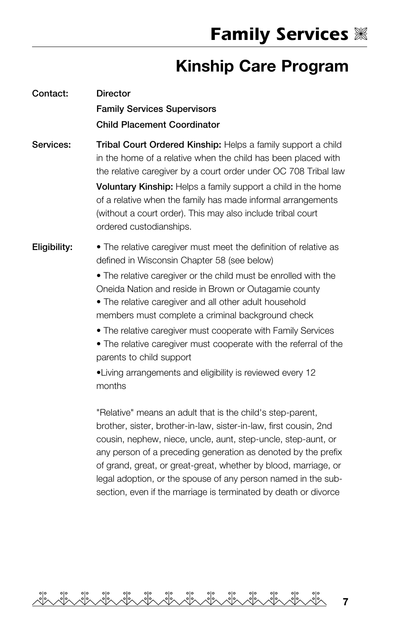## Kinship Care Program

| Contact:     | <b>Director</b><br><b>Family Services Supervisors</b><br><b>Child Placement Coordinator</b>                                                                                                                                                                                                                                                                                                                                                                                                                                                                                                       |
|--------------|---------------------------------------------------------------------------------------------------------------------------------------------------------------------------------------------------------------------------------------------------------------------------------------------------------------------------------------------------------------------------------------------------------------------------------------------------------------------------------------------------------------------------------------------------------------------------------------------------|
| Services:    | Tribal Court Ordered Kinship: Helps a family support a child<br>in the home of a relative when the child has been placed with<br>the relative caregiver by a court order under OC 708 Tribal law<br><b>Voluntary Kinship:</b> Helps a family support a child in the home<br>of a relative when the family has made informal arrangements<br>(without a court order). This may also include tribal court<br>ordered custodianships.                                                                                                                                                                |
| Eligibility: | • The relative caregiver must meet the definition of relative as<br>defined in Wisconsin Chapter 58 (see below)<br>. The relative caregiver or the child must be enrolled with the<br>Oneida Nation and reside in Brown or Outagamie county<br>• The relative caregiver and all other adult household<br>members must complete a criminal background check<br>• The relative caregiver must cooperate with Family Services<br>• The relative caregiver must cooperate with the referral of the<br>parents to child support<br>•Living arrangements and eligibility is reviewed every 12<br>months |
|              | "Relative" means an adult that is the child's step-parent,<br>brother, sister, brother-in-law, sister-in-law, first cousin, 2nd<br>cousin, nephew, niece, uncle, aunt, step-uncle, step-aunt, or<br>any person of a preceding generation as denoted by the prefix<br>of grand, great, or great-great, whether by blood, marriage, or<br>legal adoption, or the spouse of any person named in the sub-<br>section, even if the marriage is terminated by death or divorce                                                                                                                          |

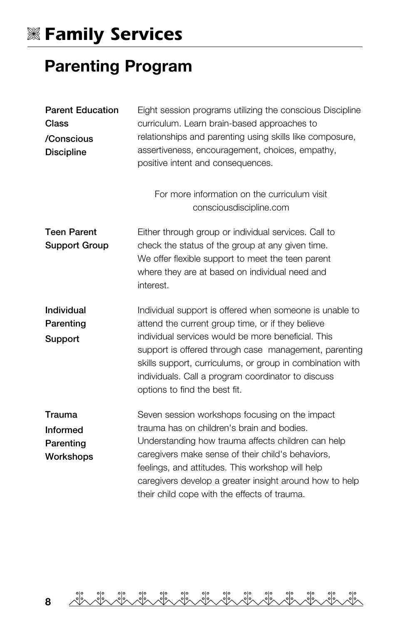# V **Family Services**

## Parenting Program

| <b>Parent Education</b><br>Class<br>/Conscious<br><b>Discipline</b> | Eight session programs utilizing the conscious Discipline<br>curriculum. Learn brain-based approaches to<br>relationships and parenting using skills like composure,<br>assertiveness, encouragement, choices, empathy,<br>positive intent and consequences.                                                                                                                    |
|---------------------------------------------------------------------|---------------------------------------------------------------------------------------------------------------------------------------------------------------------------------------------------------------------------------------------------------------------------------------------------------------------------------------------------------------------------------|
|                                                                     | For more information on the curriculum visit<br>consciousdiscipline.com                                                                                                                                                                                                                                                                                                         |
| <b>Teen Parent</b><br>Support Group                                 | Either through group or individual services. Call to<br>check the status of the group at any given time.<br>We offer flexible support to meet the teen parent<br>where they are at based on individual need and<br>interest.                                                                                                                                                    |
| Individual<br>Parenting<br>Support                                  | Individual support is offered when someone is unable to<br>attend the current group time, or if they believe<br>individual services would be more beneficial. This<br>support is offered through case management, parenting<br>skills support, curriculums, or group in combination with<br>individuals. Call a program coordinator to discuss<br>options to find the best fit. |
| Trauma<br><b>Informed</b><br>Parenting<br>Workshops                 | Seven session workshops focusing on the impact<br>trauma has on children's brain and bodies.<br>Understanding how trauma affects children can help<br>caregivers make sense of their child's behaviors,<br>feelings, and attitudes. This workshop will help<br>caregivers develop a greater insight around how to help<br>their child cope with the effects of trauma.          |

de de de de de de de de de de de de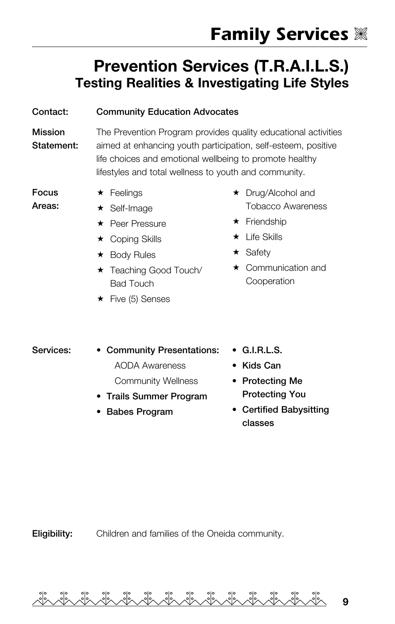#### Prevention Services (T.R.A.I.L.S.) Testing Realities & Investigating Life Styles

#### Contact: Community Education Advocates

Mission Statement: The Prevention Program provides quality educational activities aimed at enhancing youth participation, self-esteem, positive life choices and emotional wellbeing to promote healthy lifestyles and total wellness to youth and community.

Focus Areas:  $\star$  Feelings

- Self-Image
- ★ Peer Pressure
- **★ Coping Skills**
- ★ Body Rules
- ★ Teaching Good Touch/ Bad Touch
- $\star$  Five (5) Senses
- ★ Drug/Alcohol and Tobacco Awareness
- $\star$  Friendship
- $\star$  Life Skills
- $\star$  Safety
- $\star$  Communication and Cooperation

Services: • Community Presentations: AODA Awareness

Community Wellness

- Trails Summer Program
- Babes Program
- G.I.R.L.S.
- Kids Can
- Protecting Me Protecting You
- Certified Babysitting classes

Eligibility: Children and families of the Oneida community.

9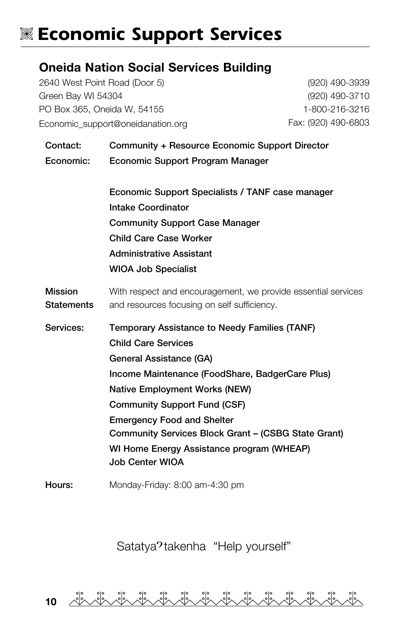## **K Economic Support Services**

#### Oneida Nation Social Services Building

2640 West Point Road (Door 5) Green Bay WI 54304 PO Box 365, Oneida W, 54155 [Economic\\_support@oneidanation.org](mailto:Economic_support@oneidanation.org) 

(920) 490-3939 (920) 490-3710 1-800-216-3216 Fax: (920) 490-6803

| Contact:<br>Economic:               | Community + Resource Economic Support Director<br>Economic Support Program Manager                                                                                                                                                                                                                                                                                                                   |
|-------------------------------------|------------------------------------------------------------------------------------------------------------------------------------------------------------------------------------------------------------------------------------------------------------------------------------------------------------------------------------------------------------------------------------------------------|
|                                     | Economic Support Specialists / TANF case manager<br><b>Intake Coordinator</b><br><b>Community Support Case Manager</b><br><b>Child Care Case Worker</b><br><b>Administrative Assistant</b><br><b>WIOA Job Specialist</b>                                                                                                                                                                             |
| <b>Mission</b><br><b>Statements</b> | With respect and encouragement, we provide essential services<br>and resources focusing on self sufficiency.                                                                                                                                                                                                                                                                                         |
| Services:                           | Temporary Assistance to Needy Families (TANF)<br><b>Child Care Services</b><br>General Assistance (GA)<br>Income Maintenance (FoodShare, BadgerCare Plus)<br><b>Native Employment Works (NEW)</b><br><b>Community Support Fund (CSF)</b><br><b>Emergency Food and Shelter</b><br>Community Services Block Grant - (CSBG State Grant)<br>WI Home Energy Assistance program (WHEAP)<br>Job Center WIOA |
| Hours:                              | Monday-Friday: 8:00 am-4:30 pm                                                                                                                                                                                                                                                                                                                                                                       |

Satatya?takenha "Help yourself"

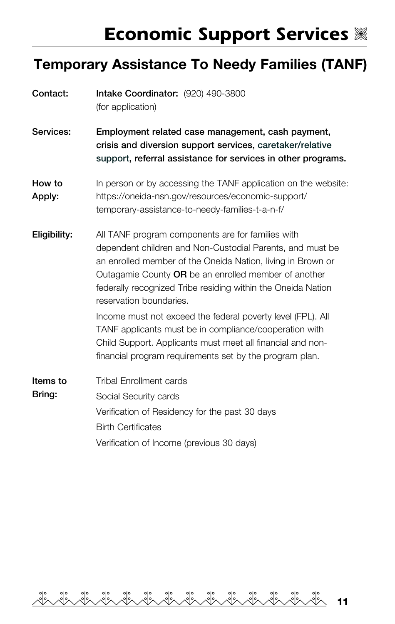## **Economic Support Services**  $\%$

## Temporary Assistance To Needy Families (TANF)

| Contact:           | Intake Coordinator: (920) 490-3800<br>(for application)                                                                                                                                                                                                                                                                          |
|--------------------|----------------------------------------------------------------------------------------------------------------------------------------------------------------------------------------------------------------------------------------------------------------------------------------------------------------------------------|
| Services:          | Employment related case management, cash payment,<br>crisis and diversion support services, caretaker/relative<br>support, referral assistance for services in other programs.                                                                                                                                                   |
| How to<br>Apply:   | In person or by accessing the TANF application on the website:<br>https://oneida-nsn.gov/resources/economic-support/<br>temporary-assistance-to-needy-families-t-a-n-f/                                                                                                                                                          |
| Eligibility:       | All TANF program components are for families with<br>dependent children and Non-Custodial Parents, and must be<br>an enrolled member of the Oneida Nation, living in Brown or<br>Outagamie County OR be an enrolled member of another<br>federally recognized Tribe residing within the Oneida Nation<br>reservation boundaries. |
|                    | Income must not exceed the federal poverty level (FPL). All<br>TANF applicants must be in compliance/cooperation with<br>Child Support. Applicants must meet all financial and non-<br>financial program requirements set by the program plan.                                                                                   |
| Items to<br>Bring: | <b>Tribal Enrollment cards</b><br>Social Security cards<br>Verification of Residency for the past 30 days<br><b>Birth Certificates</b><br>Verification of Income (previous 30 days)                                                                                                                                              |

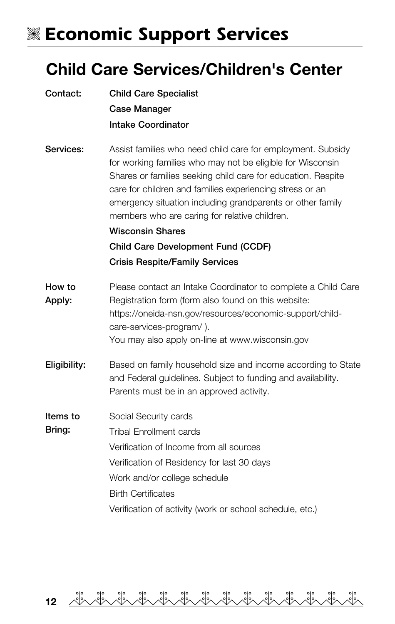# V **Economic Support Services**

#### Child Care Services/Children's Center

| Contact:           | <b>Child Care Specialist</b>                                                                                                                                                                                                                                                                                                                                         |
|--------------------|----------------------------------------------------------------------------------------------------------------------------------------------------------------------------------------------------------------------------------------------------------------------------------------------------------------------------------------------------------------------|
|                    | Case Manager                                                                                                                                                                                                                                                                                                                                                         |
|                    | <b>Intake Coordinator</b>                                                                                                                                                                                                                                                                                                                                            |
| Services:          | Assist families who need child care for employment. Subsidy<br>for working families who may not be eligible for Wisconsin<br>Shares or families seeking child care for education. Respite<br>care for children and families experiencing stress or an<br>emergency situation including grandparents or other family<br>members who are caring for relative children. |
|                    | <b>Wisconsin Shares</b>                                                                                                                                                                                                                                                                                                                                              |
|                    | Child Care Development Fund (CCDF)                                                                                                                                                                                                                                                                                                                                   |
|                    | <b>Crisis Respite/Family Services</b>                                                                                                                                                                                                                                                                                                                                |
| How to<br>Apply:   | Please contact an Intake Coordinator to complete a Child Care<br>Registration form (form also found on this website:<br>https://oneida-nsn.gov/resources/economic-support/child-<br>care-services-program/).<br>You may also apply on-line at www.wisconsin.gov                                                                                                      |
| Eligibility:       | Based on family household size and income according to State<br>and Federal guidelines. Subject to funding and availability.<br>Parents must be in an approved activity.                                                                                                                                                                                             |
| Items to<br>Bring: | Social Security cards<br><b>Tribal Enrollment cards</b><br>Verification of Income from all sources<br>Verification of Residency for last 30 days<br>Work and/or college schedule<br><b>Birth Certificates</b>                                                                                                                                                        |
|                    | Verification of activity (work or school schedule, etc.)                                                                                                                                                                                                                                                                                                             |

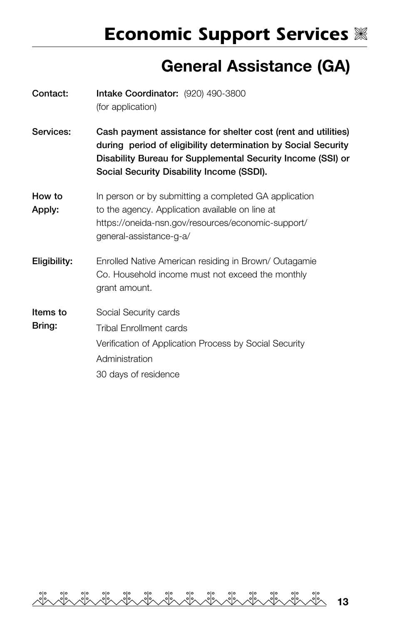### General Assistance (GA)

| Contact:           | Intake Coordinator: (920) 490-3800<br>(for application)                                                                                                                                                                                    |
|--------------------|--------------------------------------------------------------------------------------------------------------------------------------------------------------------------------------------------------------------------------------------|
| Services:          | Cash payment assistance for shelter cost (rent and utilities)<br>during period of eligibility determination by Social Security<br>Disability Bureau for Supplemental Security Income (SSI) or<br>Social Security Disability Income (SSDI). |
| How to<br>Apply:   | In person or by submitting a completed GA application<br>to the agency. Application available on line at<br>https://oneida-nsn.gov/resources/economic-support/<br>general-assistance-g-a/                                                  |
| Eligibility:       | Enrolled Native American residing in Brown/Outagamie<br>Co. Household income must not exceed the monthly<br>grant amount.                                                                                                                  |
| Items to<br>Bring: | Social Security cards<br>Tribal Enrollment cards<br>Verification of Application Process by Social Security<br>Administration<br>30 days of residence                                                                                       |

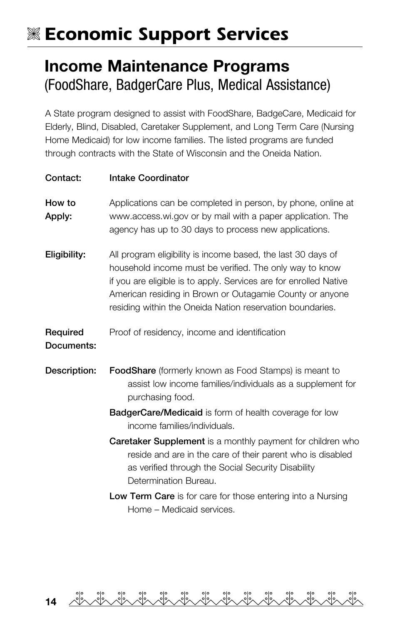# V **Economic Support Services**

#### Income Maintenance Programs (FoodShare, BadgerCare Plus, Medical Assistance)

A State program designed to assist with FoodShare, BadgeCare, Medicaid for Elderly, Blind, Disabled, Caretaker Supplement, and Long Term Care (Nursing Home Medicaid) for low income families. The listed programs are funded through contracts with the State of Wisconsin and the Oneida Nation.

| Contact:               | <b>Intake Coordinator</b>                                                                                                                                                                                                                                                                                             |
|------------------------|-----------------------------------------------------------------------------------------------------------------------------------------------------------------------------------------------------------------------------------------------------------------------------------------------------------------------|
| How to<br>Apply:       | Applications can be completed in person, by phone, online at<br>www.access.wi.gov or by mail with a paper application. The<br>agency has up to 30 days to process new applications.                                                                                                                                   |
| Eligibility:           | All program eligibility is income based, the last 30 days of<br>household income must be verified. The only way to know<br>if you are eligible is to apply. Services are for enrolled Native<br>American residing in Brown or Outagamie County or anyone<br>residing within the Oneida Nation reservation boundaries. |
| Required<br>Documents: | Proof of residency, income and identification                                                                                                                                                                                                                                                                         |
| Description:           | <b>FoodShare</b> (formerly known as Food Stamps) is meant to<br>assist low income families/individuals as a supplement for<br>purchasing food.                                                                                                                                                                        |
|                        | <b>BadgerCare/Medicaid</b> is form of health coverage for low<br>income families/individuals.                                                                                                                                                                                                                         |
|                        | <b>Caretaker Supplement</b> is a monthly payment for children who<br>reside and are in the care of their parent who is disabled<br>as verified through the Social Security Disability<br>Determination Bureau.                                                                                                        |
|                        | <b>Low Term Care</b> is for care for those entering into a Nursing<br>Home - Medicaid services.                                                                                                                                                                                                                       |

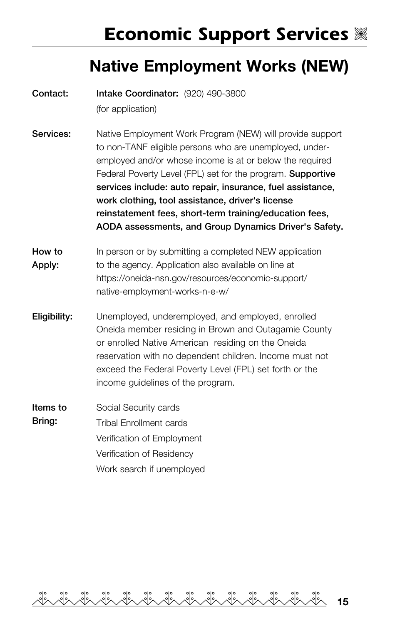### Native Employment Works (NEW)

| Contact:           | Intake Coordinator: (920) 490-3800                                                                                                                                                                                                                                                                                                                                                                                                                                                    |  |
|--------------------|---------------------------------------------------------------------------------------------------------------------------------------------------------------------------------------------------------------------------------------------------------------------------------------------------------------------------------------------------------------------------------------------------------------------------------------------------------------------------------------|--|
|                    | (for application)                                                                                                                                                                                                                                                                                                                                                                                                                                                                     |  |
| Services:          | Native Employment Work Program (NEW) will provide support<br>to non-TANF eligible persons who are unemployed, under-<br>employed and/or whose income is at or below the required<br>Federal Poverty Level (FPL) set for the program. Supportive<br>services include: auto repair, insurance, fuel assistance,<br>work clothing, tool assistance, driver's license<br>reinstatement fees, short-term training/education fees,<br>AODA assessments, and Group Dynamics Driver's Safety. |  |
| How to<br>Apply:   | In person or by submitting a completed NEW application<br>to the agency. Application also available on line at<br>https://oneida-nsn.gov/resources/economic-support/<br>native-employment-works-n-e-w/                                                                                                                                                                                                                                                                                |  |
| Eligibility:       | Unemployed, underemployed, and employed, enrolled<br>Oneida member residing in Brown and Outagamie County<br>or enrolled Native American residing on the Oneida<br>reservation with no dependent children. Income must not<br>exceed the Federal Poverty Level (FPL) set forth or the<br>income guidelines of the program.                                                                                                                                                            |  |
| Items to<br>Bring: | Social Security cards<br>Tribal Enrollment cards<br>Verification of Employment<br>Verification of Residency<br>Work search if unemploved                                                                                                                                                                                                                                                                                                                                              |  |

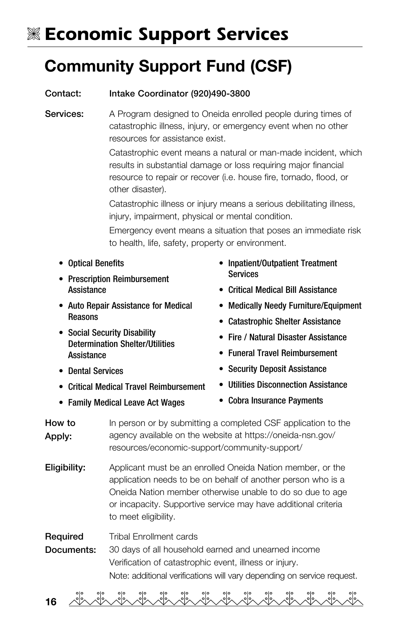# V **Economic Support Services**

## Community Support Fund (CSF)

#### Contact: Intake Coordinator (920)490-3800

Services: A Program designed to Oneida enrolled people during times of catastrophic illness, injury, or emergency event when no other resources for assistance exist.

> Catastrophic event means a natural or man-made incident, which results in substantial damage or loss requiring major financial resource to repair or recover (i.e. house fire, tornado, flood, or other disaster).

Catastrophic illness or injury means a serious debilitating illness, injury, impairment, physical or mental condition.

Emergency event means a situation that poses an immediate risk to health, life, safety, property or environment.

- Optical Benefits
- Prescription Reimbursement Assistance
- Auto Repair Assistance for Medical Reasons
- Social Security Disability Determination Shelter/Utilities **Assistance**
- Dental Services
- Critical Medical Travel Reimbursement
- Family Medical Leave Act Wages
- Inpatient/Outpatient Treatment **Services**
- Critical Medical Bill Assistance
- Medically Needy Furniture/Equipment
- Catastrophic Shelter Assistance
- Fire / Natural Disaster Assistance
- Funeral Travel Reimbursement
- Security Deposit Assistance
- Utilities Disconnection Assistance
- Cobra Insurance Payments

How to Apply: In person or by submitting a completed CSF application to the agency available on the website at <https://oneida-nsn.gov/> resources/economic-support/community-support/

**Eligibility:** Applicant must be an enrolled Oneida Nation member, or the application needs to be on behalf of another person who is a Oneida Nation member otherwise unable to do so due to age or incapacity. Supportive service may have additional criteria to meet eligibility.

Required Documents: Tribal Enrollment cards 30 days of all household earned and unearned income Verification of catastrophic event, illness or injury. Note: additional verifications will vary depending on service request.

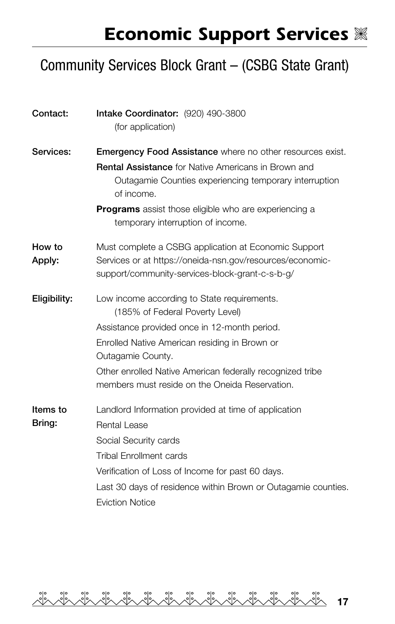#### Community Services Block Grant – (CSBG State Grant)

| Contact:           | Intake Coordinator: (920) 490-3800<br>(for application)                                                                                                                                                                                                                                                             |  |
|--------------------|---------------------------------------------------------------------------------------------------------------------------------------------------------------------------------------------------------------------------------------------------------------------------------------------------------------------|--|
| Services:          | <b>Emergency Food Assistance</b> where no other resources exist.<br>Rental Assistance for Native Americans in Brown and<br>Outagamie Counties experiencing temporary interruption<br>of income.<br>Programs assist those eligible who are experiencing a<br>temporary interruption of income.                       |  |
| How to<br>Apply:   | Must complete a CSBG application at Economic Support<br>Services or at https://oneida-nsn.gov/resources/economic-<br>support/community-services-block-grant-c-s-b-g/                                                                                                                                                |  |
| Eligibility:       | Low income according to State requirements.<br>(185% of Federal Poverty Level)<br>Assistance provided once in 12-month period.<br>Enrolled Native American residing in Brown or<br>Outagamie County.<br>Other enrolled Native American federally recognized tribe<br>members must reside on the Oneida Reservation. |  |
| Items to<br>Bring: | Landlord Information provided at time of application<br>Rental Lease<br>Social Security cards<br><b>Tribal Enrollment cards</b><br>Verification of Loss of Income for past 60 days.<br>Last 30 days of residence within Brown or Outagamie counties.<br><b>Eviction Notice</b>                                      |  |

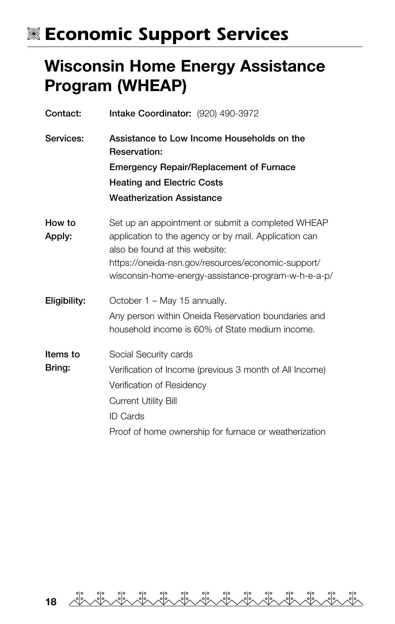## **WE Economic Support Services**

#### Wisconsin Home Energy Assistance Program (WHEAP)

| Contact:           | Intake Coordinator: (920) 490-3972                                                                                                                                                                                                                        |
|--------------------|-----------------------------------------------------------------------------------------------------------------------------------------------------------------------------------------------------------------------------------------------------------|
| Services:          | Assistance to Low Income Households on the<br>Reservation:<br><b>Emergency Repair/Replacement of Furnace</b><br><b>Heating and Electric Costs</b><br><b>Weatherization Assistance</b>                                                                     |
| How to<br>Apply:   | Set up an appointment or submit a completed WHEAP<br>application to the agency or by mail. Application can<br>also be found at this website:<br>https://oneida-nsn.gov/resources/economic-support/<br>wisconsin-home-energy-assistance-program-w-h-e-a-p/ |
| Eligibility:       | October 1 – May 15 annually.<br>Any person within Oneida Reservation boundaries and<br>household income is 60% of State medium income.                                                                                                                    |
| Items to<br>Bring: | Social Security cards<br>Verification of Income (previous 3 month of All Income)<br>Verification of Residency<br><b>Current Utility Bill</b><br><b>ID Cards</b><br>Proof of home ownership for furnace or weatherization                                  |

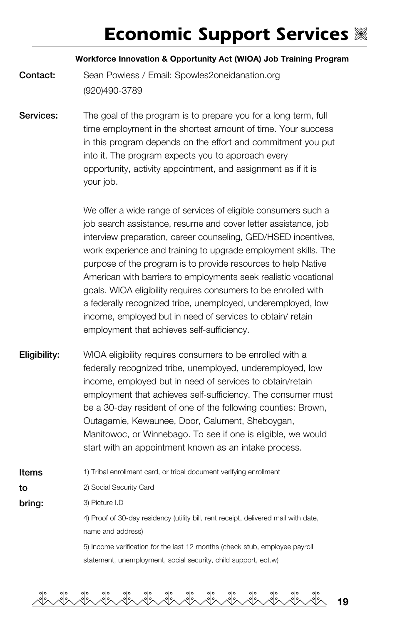## **Economic Support Services**  $\%$

#### Workforce Innovation & Opportunity Act (WIOA) Job Training Program

**Contact:** Sean Powless / Email: Spowles2oneidanation.org (920)490-3789

Services: The goal of the program is to prepare you for a long term, full time employment in the shortest amount of time. Your success in this program depends on the effort and commitment you put into it. The program expects you to approach every opportunity, activity appointment, and assignment as if it is your job.

> We offer a wide range of services of eligible consumers such a job search assistance, resume and cover letter assistance, job interview preparation, career counseling, GED/HSED incentives, work experience and training to upgrade employment skills. The purpose of the program is to provide resources to help Native American with barriers to employments seek realistic vocational goals. WIOA eligibility requires consumers to be enrolled with a federally recognized tribe, unemployed, underemployed, low income, employed but in need of services to obtain/ retain employment that achieves self-sufficiency.

- **Eligibility:** WIOA eligibility requires consumers to be enrolled with a federally recognized tribe, unemployed, underemployed, low income, employed but in need of services to obtain/retain employment that achieves self-sufficiency. The consumer must be a 30-day resident of one of the following counties: Brown, Outagamie, Kewaunee, Door, Calument, Sheboygan, Manitowoc, or Winnebago. To see if one is eligible, we would start with an appointment known as an intake process.
- Items to bring: 1) Tribal enrollment card, or tribal document verifying enrollment 2) Social Security Card 3) Picture I.D 4) Proof of 30-day residency (utility bill, rent receipt, delivered mail with date, name and address)

5) Income verification for the last 12 months (check stub, employee payroll statement, unemployment, social security, child support, ect.w)

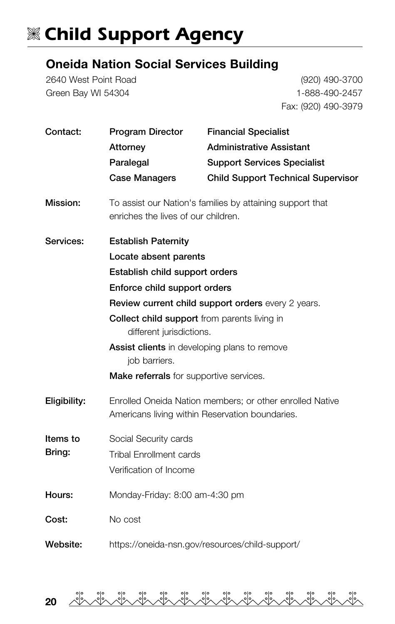# **W Child Support Agency**

#### Oneida Nation Social Services Building

2640 West Point Road Green Bay WI 54304

(920) 490-3700 1-888-490-2457 Fax: (920) 490-3979

| Contact:                                                                           | Program Director                                                                                            | <b>Financial Specialist</b>               |  |  |
|------------------------------------------------------------------------------------|-------------------------------------------------------------------------------------------------------------|-------------------------------------------|--|--|
|                                                                                    | Attorney                                                                                                    | <b>Administrative Assistant</b>           |  |  |
|                                                                                    | Paralegal                                                                                                   | <b>Support Services Specialist</b>        |  |  |
|                                                                                    | Case Managers                                                                                               | <b>Child Support Technical Supervisor</b> |  |  |
| Mission:                                                                           | To assist our Nation's families by attaining support that<br>enriches the lives of our children.            |                                           |  |  |
| Services:                                                                          | <b>Establish Paternity</b>                                                                                  |                                           |  |  |
|                                                                                    | Locate absent parents                                                                                       |                                           |  |  |
|                                                                                    | Establish child support orders                                                                              |                                           |  |  |
| Enforce child support orders<br>Review current child support orders every 2 years. |                                                                                                             |                                           |  |  |
|                                                                                    |                                                                                                             |                                           |  |  |
|                                                                                    |                                                                                                             |                                           |  |  |
|                                                                                    | Assist clients in developing plans to remove<br>job barriers.                                               |                                           |  |  |
| Make referrals for supportive services.                                            |                                                                                                             |                                           |  |  |
| Eligibility:                                                                       | Enrolled Oneida Nation members; or other enrolled Native<br>Americans living within Reservation boundaries. |                                           |  |  |
| Items to<br>Social Security cards                                                  |                                                                                                             |                                           |  |  |
| Bring:                                                                             | <b>Tribal Enrollment cards</b>                                                                              |                                           |  |  |
|                                                                                    | Verification of Income                                                                                      |                                           |  |  |
| Hours:                                                                             | Monday-Friday: 8:00 am-4:30 pm                                                                              |                                           |  |  |
| Cost:                                                                              | No cost                                                                                                     |                                           |  |  |
| Website:                                                                           | https://oneida-nsn.gov/resources/child-support/                                                             |                                           |  |  |

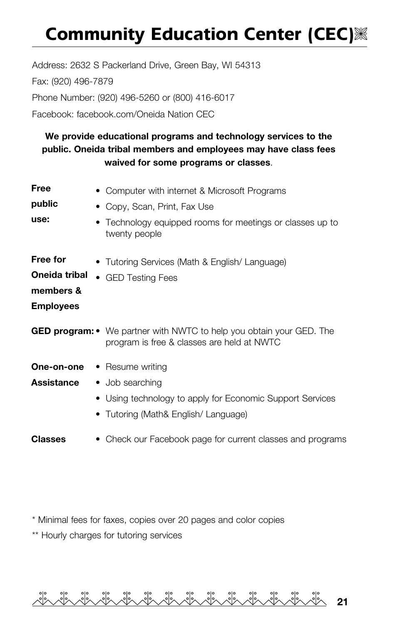# **Community Education Center (CEC)**

Address: 2632 S Packerland Drive, Green Bay, WI 54313 Fax: (920) 496-7879 Phone Number: (920) 496-5260 or (800) 416-6017 Facebook: facebook.com/Oneida Nation CEC

#### We provide educational programs and technology services to the public. Oneida tribal members and employees may have class fees waived for some programs or classes.

| Free                               | • Computer with internet & Microsoft Programs                                                                             |  |
|------------------------------------|---------------------------------------------------------------------------------------------------------------------------|--|
| public                             | • Copy, Scan, Print, Fax Use                                                                                              |  |
| use:                               | Technology equipped rooms for meetings or classes up to<br>twenty people                                                  |  |
| Free for                           | • Tutoring Services (Math & English/ Language)                                                                            |  |
| Oneida tribal                      | • GED Testing Fees                                                                                                        |  |
| members &                          |                                                                                                                           |  |
| <b>Employees</b>                   |                                                                                                                           |  |
|                                    | <b>GED program:</b> • We partner with NWTC to help you obtain your GED. The<br>program is free & classes are held at NWTC |  |
| <b>One-on-one</b> • Resume writing |                                                                                                                           |  |
| Assistance                         | • Job searching                                                                                                           |  |
|                                    | • Using technology to apply for Economic Support Services                                                                 |  |
|                                    | • Tutoring (Math& English/ Language)                                                                                      |  |
| <b>Classes</b>                     | • Check our Facebook page for current classes and programs                                                                |  |

\* Minimal fees for faxes, copies over 20 pages and color copies

\*\* Hourly charges for tutoring services

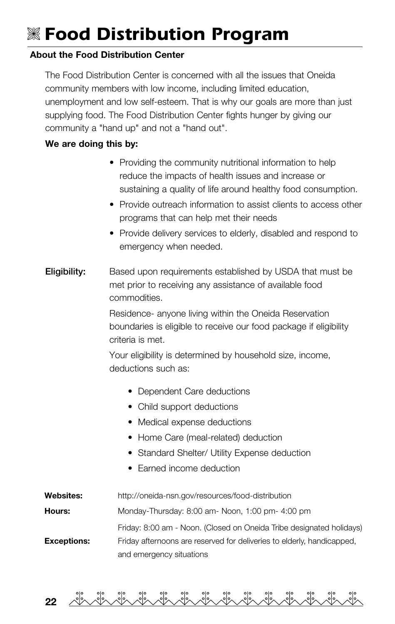# V **Food Distribution Program**

#### About the Food Distribution Center

The Food Distribution Center is concerned with all the issues that Oneida community members with low income, including limited education, unemployment and low self-esteem. That is why our goals are more than just supplying food. The Food Distribution Center fights hunger by giving our community a "hand up" and not a "hand out".

#### We are doing this by:

- Providing the community nutritional information to help reduce the impacts of health issues and increase or sustaining a quality of life around healthy food consumption.
- Provide outreach information to assist clients to access other programs that can help met their needs
- Provide delivery services to elderly, disabled and respond to emergency when needed.
- **Eligibility:** Based upon requirements established by USDA that must be met prior to receiving any assistance of available food commodities.

Residence- anyone living within the Oneida Reservation boundaries is eligible to receive our food package if eligibility criteria is met.

Your eligibility is determined by household size, income, deductions such as:

- Dependent Care deductions
- Child support deductions
- Medical expense deductions
- Home Care (meal-related) deduction
- Standard Shelter/ Utility Expense deduction
- Farned income deduction
- Websites: <http://oneida-nsn.gov/resources/food-distribution> Hours: Monday-Thursday: 8:00 am- Noon, 1:00 pm- 4:00 pm Friday: 8:00 am - Noon. (Closed on Oneida Tribe designated holidays) **Exceptions:** Friday afternoons are reserved for deliveries to elderly, handicapped, and emergency situations

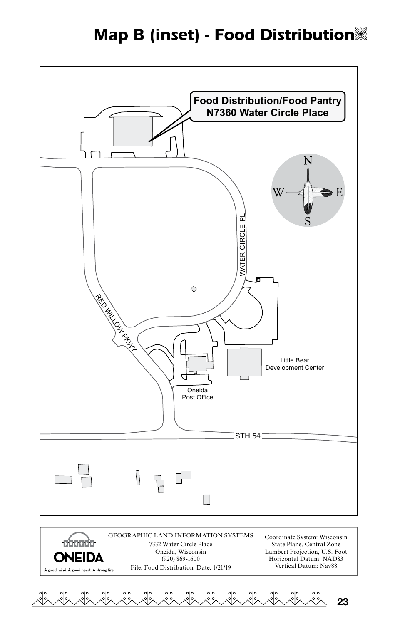

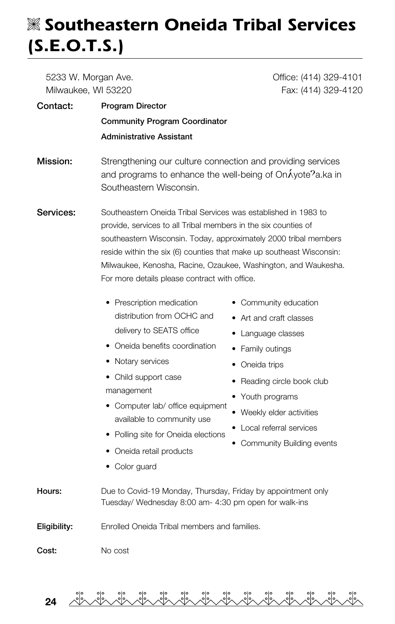## V **Southeastern Oneida Tribal Services (S.E.O.T.S.)**

| 5233 W. Morgan Ave.                                                                                                                                                                                                                                                                                                                                                                             | Office: (414) 329-4101                                                                                                                                                                                                                                  |  |
|-------------------------------------------------------------------------------------------------------------------------------------------------------------------------------------------------------------------------------------------------------------------------------------------------------------------------------------------------------------------------------------------------|---------------------------------------------------------------------------------------------------------------------------------------------------------------------------------------------------------------------------------------------------------|--|
| Milwaukee, WI 53220                                                                                                                                                                                                                                                                                                                                                                             | Fax: (414) 329-4120                                                                                                                                                                                                                                     |  |
| <b>Program Director</b>                                                                                                                                                                                                                                                                                                                                                                         |                                                                                                                                                                                                                                                         |  |
| <b>Community Program Coordinator</b>                                                                                                                                                                                                                                                                                                                                                            |                                                                                                                                                                                                                                                         |  |
| <b>Administrative Assistant</b>                                                                                                                                                                                                                                                                                                                                                                 |                                                                                                                                                                                                                                                         |  |
| Strengthening our culture connection and providing services<br>and programs to enhance the well-being of OnÁyote?a.ka in<br>Southeastern Wisconsin.                                                                                                                                                                                                                                             |                                                                                                                                                                                                                                                         |  |
| Southeastern Oneida Tribal Services was established in 1983 to<br>provide, services to all Tribal members in the six counties of<br>southeastern Wisconsin. Today, approximately 2000 tribal members<br>reside within the six (6) counties that make up southeast Wisconsin:<br>Milwaukee, Kenosha, Racine, Ozaukee, Washington, and Waukesha.<br>For more details please contract with office. |                                                                                                                                                                                                                                                         |  |
| • Prescription medication<br>distribution from OCHC and<br>delivery to SEATS office<br>• Oneida benefits coordination<br>• Notary services<br>• Child support case<br>management<br>• Computer lab/ office equipment<br>available to community use<br>• Polling site for Oneida elections<br>• Oneida retail products<br>• Color guard                                                          | • Community education<br>• Art and craft classes<br>• Language classes<br>• Family outings<br>• Oneida trips<br>• Reading circle book club<br>• Youth programs<br>• Weekly elder activities<br>• Local referral services<br>• Community Building events |  |
| Due to Covid-19 Monday, Thursday, Friday by appointment only<br>Tuesday/ Wednesday 8:00 am- 4:30 pm open for walk-ins                                                                                                                                                                                                                                                                           |                                                                                                                                                                                                                                                         |  |
| Enrolled Oneida Tribal members and families.                                                                                                                                                                                                                                                                                                                                                    |                                                                                                                                                                                                                                                         |  |
| No cost                                                                                                                                                                                                                                                                                                                                                                                         |                                                                                                                                                                                                                                                         |  |
|                                                                                                                                                                                                                                                                                                                                                                                                 |                                                                                                                                                                                                                                                         |  |

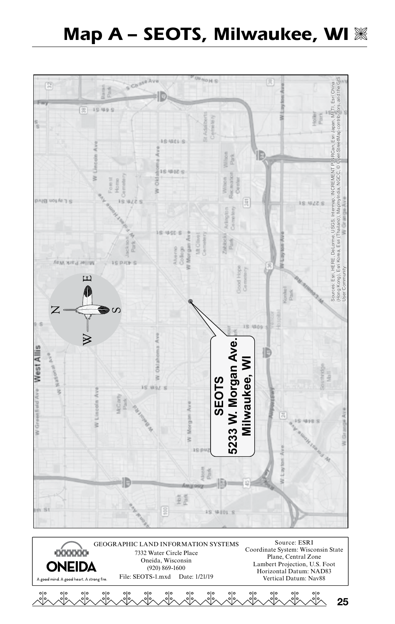## **Map A - SEOTS, Milwaukee, WI**  $\%$





25